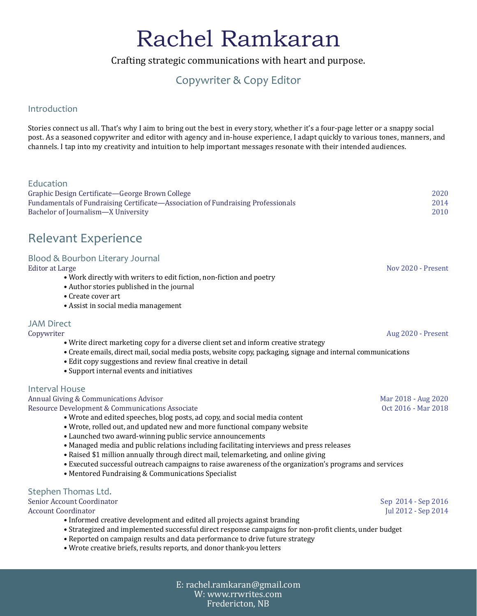# Rachel Ramkaran

Crafting strategic communications with heart and purpose.

## Copywriter & Copy Editor

#### Introduction

Stories connect us all. That's why I aim to bring out the best in every story, whether it's a four-page letter or a snappy social post. As a seasoned copywriter and editor with agency and in-house experience, I adapt quickly to various tones, manners, and channels. I tap into my creativity and intuition to help important messages resonate with their intended audiences.

| Education<br>Graphic Design Certificate-George Brown College<br>Fundamentals of Fundraising Certificate-Association of Fundraising Professionals<br>Bachelor of Journalism-X University                                                                                                                                                                                                                                                                                                                                                                                                                                                  | 2020<br>2014<br>2010                       |
|------------------------------------------------------------------------------------------------------------------------------------------------------------------------------------------------------------------------------------------------------------------------------------------------------------------------------------------------------------------------------------------------------------------------------------------------------------------------------------------------------------------------------------------------------------------------------------------------------------------------------------------|--------------------------------------------|
| <b>Relevant Experience</b>                                                                                                                                                                                                                                                                                                                                                                                                                                                                                                                                                                                                               |                                            |
| Blood & Bourbon Literary Journal<br><b>Editor at Large</b><br>. Work directly with writers to edit fiction, non-fiction and poetry<br>• Author stories published in the journal<br>• Create cover art<br>• Assist in social media management                                                                                                                                                                                                                                                                                                                                                                                             | Nov 2020 - Present                         |
| <b>JAM Direct</b>                                                                                                                                                                                                                                                                                                                                                                                                                                                                                                                                                                                                                        |                                            |
| Copywriter<br>• Write direct marketing copy for a diverse client set and inform creative strategy<br>• Create emails, direct mail, social media posts, website copy, packaging, signage and internal communications<br>• Edit copy suggestions and review final creative in detail<br>• Support internal events and initiatives                                                                                                                                                                                                                                                                                                          | Aug 2020 - Present                         |
| <b>Interval House</b><br>Annual Giving & Communications Advisor<br>Resource Development & Communications Associate<br>• Wrote and edited speeches, blog posts, ad copy, and social media content<br>• Wrote, rolled out, and updated new and more functional company website<br>• Launched two award-winning public service announcements<br>• Managed media and public relations including facilitating interviews and press releases<br>• Raised \$1 million annually through direct mail, telemarketing, and online giving<br>• Executed successful outreach campaigns to raise awareness of the organization's programs and services | Mar 2018 - Aug 2020<br>Oct 2016 - Mar 2018 |
| • Mentored Fundraising & Communications Specialist                                                                                                                                                                                                                                                                                                                                                                                                                                                                                                                                                                                       |                                            |
| Stephen Thomas Ltd.<br>Senior Account Coordinator<br><b>Account Coordinator</b><br>• Informed creative development and edited all projects against branding<br>• Strategized and implemented successful direct response campaigns for non-profit clients, under budget<br>• Reported on campaign results and data performance to drive future strategy<br>. Wrote creative briefs, results reports, and donor thank-you letters                                                                                                                                                                                                          | Sep 2014 - Sep 2016<br>Jul 2012 - Sep 2014 |
|                                                                                                                                                                                                                                                                                                                                                                                                                                                                                                                                                                                                                                          |                                            |

E: rachel.ramkaran@gmail.com W: [www.rrwrites.com](http://www.rrwrites.com) Fredericton, NB